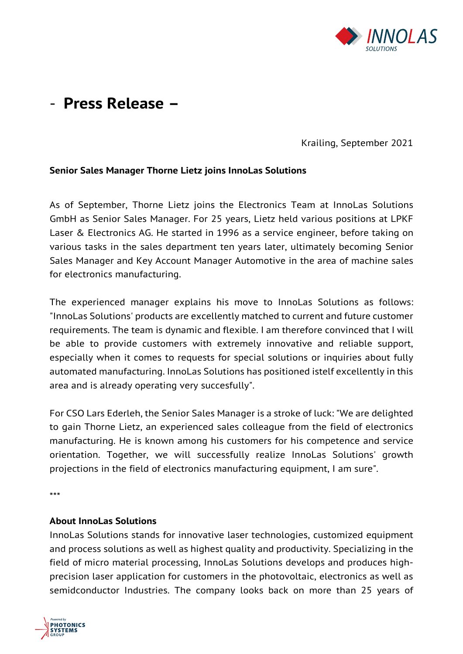

## - **Press Release –**

Krailing, September 2021

## **Senior Sales Manager Thorne Lietz joins InnoLas Solutions**

As of September, Thorne Lietz joins the Electronics Team at InnoLas Solutions GmbH as Senior Sales Manager. For 25 years, Lietz held various positions at LPKF Laser & Electronics AG. He started in 1996 as a service engineer, before taking on various tasks in the sales department ten years later, ultimately becoming Senior Sales Manager and Key Account Manager Automotive in the area of machine sales for electronics manufacturing.

The experienced manager explains his move to InnoLas Solutions as follows: "InnoLas Solutions' products are excellently matched to current and future customer requirements. The team is dynamic and flexible. I am therefore convinced that I will be able to provide customers with extremely innovative and reliable support, especially when it comes to requests for special solutions or inquiries about fully automated manufacturing. InnoLas Solutions has positioned istelf excellently in this area and is already operating very succesfully".

For CSO Lars Ederleh, the Senior Sales Manager is a stroke of luck: "We are delighted to gain Thorne Lietz, an experienced sales colleague from the field of electronics manufacturing. He is known among his customers for his competence and service orientation. Together, we will successfully realize InnoLas Solutions' growth projections in the field of electronics manufacturing equipment, I am sure".

\*\*\*

## **About InnoLas Solutions**

InnoLas Solutions stands for innovative laser technologies, customized equipment and process solutions as well as highest quality and productivity. Specializing in the field of micro material processing, InnoLas Solutions develops and produces highprecision laser application for customers in the photovoltaic, electronics as well as semidconductor Industries. The company looks back on more than 25 years of